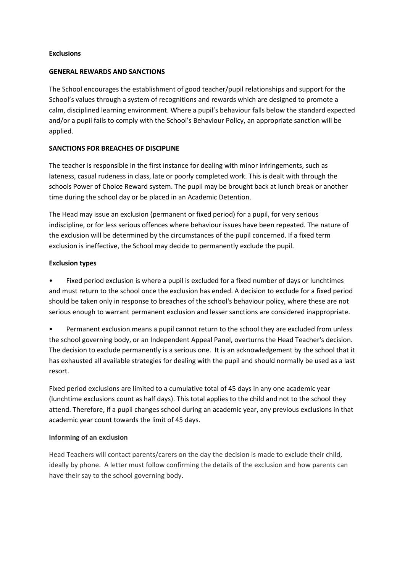### **Exclusions**

### **GENERAL REWARDS AND SANCTIONS**

The School encourages the establishment of good teacher/pupil relationships and support for the School's values through a system of recognitions and rewards which are designed to promote a calm, disciplined learning environment. Where a pupil's behaviour falls below the standard expected and/or a pupil fails to comply with the School's Behaviour Policy, an appropriate sanction will be applied.

# **SANCTIONS FOR BREACHES OF DISCIPLINE**

The teacher is responsible in the first instance for dealing with minor infringements, such as lateness, casual rudeness in class, late or poorly completed work. This is dealt with through the schools Power of Choice Reward system. The pupil may be brought back at lunch break or another time during the school day or be placed in an Academic Detention.

The Head may issue an exclusion (permanent or fixed period) for a pupil, for very serious indiscipline, or for less serious offences where behaviour issues have been repeated. The nature of the exclusion will be determined by the circumstances of the pupil concerned. If a fixed term exclusion is ineffective, the School may decide to permanently exclude the pupil.

# **Exclusion types**

• Fixed period exclusion is where a pupil is excluded for a fixed number of days or lunchtimes and must return to the school once the exclusion has ended. A decision to exclude for a fixed period should be taken only in response to breaches of the school's behaviour policy, where these are not serious enough to warrant permanent exclusion and lesser sanctions are considered inappropriate.

• Permanent exclusion means a pupil cannot return to the school they are excluded from unless the school governing body, or an Independent Appeal Panel, overturns the Head Teacher's decision. The decision to exclude permanently is a serious one. It is an acknowledgement by the school that it has exhausted all available strategies for dealing with the pupil and should normally be used as a last resort.

Fixed period exclusions are limited to a cumulative total of 45 days in any one academic year (lunchtime exclusions count as half days). This total applies to the child and not to the school they attend. Therefore, if a pupil changes school during an academic year, any previous exclusions in that academic year count towards the limit of 45 days.

#### **Informing of an exclusion**

Head Teachers will contact parents/carers on the day the decision is made to exclude their child, ideally by phone. A letter must follow confirming the details of the exclusion and how parents can have their say to the school governing body.